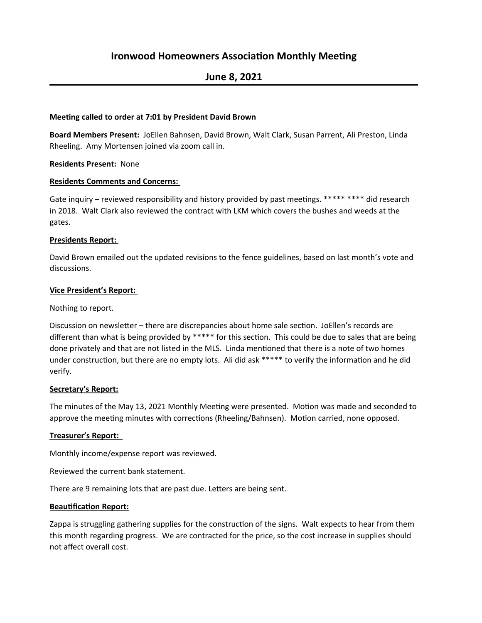# **Ironwood Homeowners Association Monthly Meeting**

# **June 8, 2021**

## **Meeting called to order at 7:01 by President David Brown**

Board Members Present: JoEllen Bahnsen, David Brown, Walt Clark, Susan Parrent, Ali Preston, Linda Rheeling. Amy Mortensen joined via zoom call in.

## **Residents Present: None**

## **Residents Comments and Concerns:**

Gate inquiry – reviewed responsibility and history provided by past meetings. \*\*\*\*\* \*\*\*\* did research in 2018. Walt Clark also reviewed the contract with LKM which covers the bushes and weeds at the gates. 

## **Presidents Report:**

David Brown emailed out the updated revisions to the fence guidelines, based on last month's vote and discussions.

## **Vice President's Report:**

# Nothing to report.

Discussion on newsletter – there are discrepancies about home sale section. JoEllen's records are different than what is being provided by \*\*\*\*\* for this section. This could be due to sales that are being done privately and that are not listed in the MLS. Linda mentioned that there is a note of two homes under construction, but there are no empty lots. Ali did ask \*\*\*\*\* to verify the information and he did verify. 

# **Secretary's Report:**

The minutes of the May 13, 2021 Monthly Meeting were presented. Motion was made and seconded to approve the meeting minutes with corrections (Rheeling/Bahnsen). Motion carried, none opposed.

# **Treasurer's Report:**

Monthly income/expense report was reviewed.

Reviewed the current bank statement.

There are 9 remaining lots that are past due. Letters are being sent.

# **Beautification Report:**

Zappa is struggling gathering supplies for the construction of the signs. Walt expects to hear from them this month regarding progress. We are contracted for the price, so the cost increase in supplies should not affect overall cost.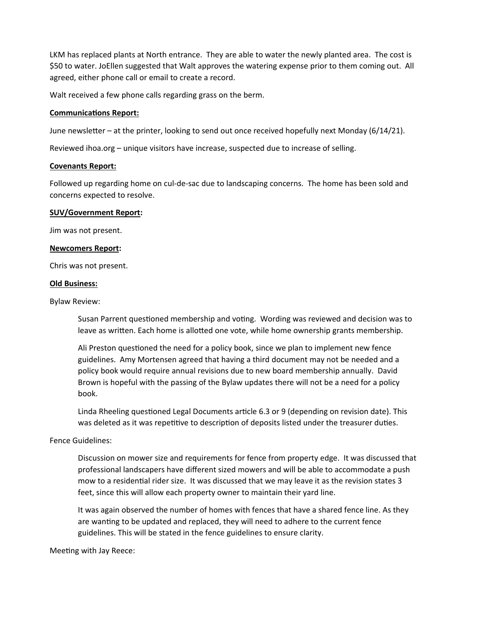LKM has replaced plants at North entrance. They are able to water the newly planted area. The cost is \$50 to water. JoEllen suggested that Walt approves the watering expense prior to them coming out. All agreed, either phone call or email to create a record.

Walt received a few phone calls regarding grass on the berm.

#### **Communications Report:**

June newsletter – at the printer, looking to send out once received hopefully next Monday (6/14/21).

Reviewed ihoa.org – unique visitors have increase, suspected due to increase of selling.

#### **Covenants Report:**

Followed up regarding home on cul-de-sac due to landscaping concerns. The home has been sold and concerns expected to resolve.

#### **SUV/Government Report:**

Jim was not present.

## **Newcomers Report:**

Chris was not present.

## **Old Business:**

Bylaw Review:

Susan Parrent questioned membership and voting. Wording was reviewed and decision was to leave as written. Each home is allotted one vote, while home ownership grants membership.

Ali Preston questioned the need for a policy book, since we plan to implement new fence guidelines. Amy Mortensen agreed that having a third document may not be needed and a policy book would require annual revisions due to new board membership annually. David Brown is hopeful with the passing of the Bylaw updates there will not be a need for a policy book.

Linda Rheeling questioned Legal Documents article 6.3 or 9 (depending on revision date). This was deleted as it was repetitive to description of deposits listed under the treasurer duties.

# Fence Guidelines:

Discussion on mower size and requirements for fence from property edge. It was discussed that professional landscapers have different sized mowers and will be able to accommodate a push mow to a residential rider size. It was discussed that we may leave it as the revision states 3 feet, since this will allow each property owner to maintain their yard line.

It was again observed the number of homes with fences that have a shared fence line. As they are wanting to be updated and replaced, they will need to adhere to the current fence guidelines. This will be stated in the fence guidelines to ensure clarity.

Meeting with Jay Reece: